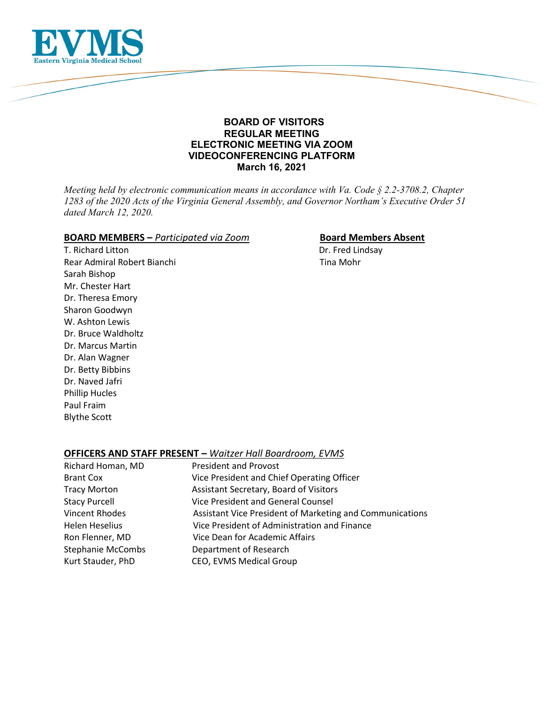

# **BOARD OF VISITORS REGULAR MEETING ELECTRONIC MEETING VIA ZOOM VIDEOCONFERENCING PLATFORM March 16, 2021**

*Meeting held by electronic communication means in accordance with Va. Code § 2.2-3708.2, Chapter 1283 of the 2020 Acts of the Virginia General Assembly, and Governor Northam's Executive Order 51 dated March 12, 2020.*

# **BOARD MEMBERS** – *Participated via Zoom* **Board Members Absent**

T. Richard Litton **Dr. Fred Lindsay** Rear Admiral Robert Bianchi Tina Mohr Sarah Bishop Mr. Chester Hart Dr. Theresa Emory Sharon Goodwyn W. Ashton Lewis Dr. Bruce Waldholtz Dr. Marcus Martin Dr. Alan Wagner Dr. Betty Bibbins Dr. Naved Jafri Phillip Hucles Paul Fraim Blythe Scott

# **OFFICERS AND STAFF PRESENT –** *Waitzer Hall Boardroom, EVMS*

| Richard Homan, MD        | <b>President and Provost</b>                             |
|--------------------------|----------------------------------------------------------|
| <b>Brant Cox</b>         | Vice President and Chief Operating Officer               |
| <b>Tracy Morton</b>      | Assistant Secretary, Board of Visitors                   |
| <b>Stacy Purcell</b>     | Vice President and General Counsel                       |
| <b>Vincent Rhodes</b>    | Assistant Vice President of Marketing and Communications |
| Helen Heselius           | Vice President of Administration and Finance             |
| Ron Flenner, MD          | Vice Dean for Academic Affairs                           |
| <b>Stephanie McCombs</b> | Department of Research                                   |
| Kurt Stauder, PhD        | CEO, EVMS Medical Group                                  |
|                          |                                                          |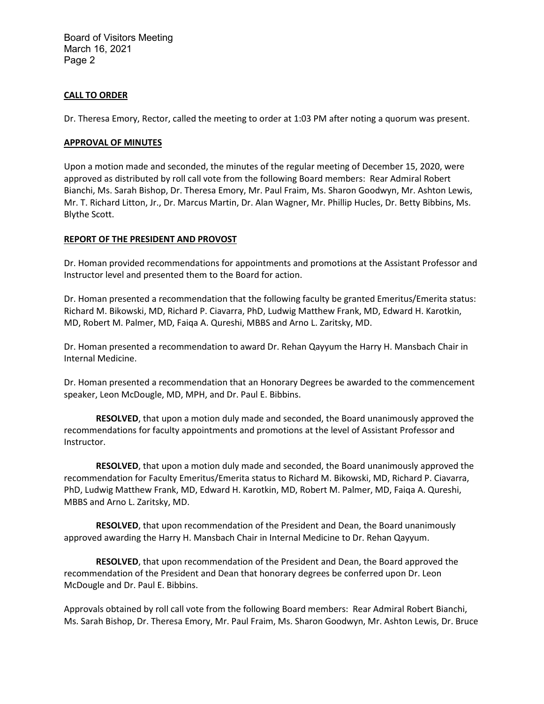Board of Visitors Meeting March 16, 2021 Page 2

# **CALL TO ORDER**

Dr. Theresa Emory, Rector, called the meeting to order at 1:03 PM after noting a quorum was present.

### **APPROVAL OF MINUTES**

Upon a motion made and seconded, the minutes of the regular meeting of December 15, 2020, were approved as distributed by roll call vote from the following Board members: Rear Admiral Robert Bianchi, Ms. Sarah Bishop, Dr. Theresa Emory, Mr. Paul Fraim, Ms. Sharon Goodwyn, Mr. Ashton Lewis, Mr. T. Richard Litton, Jr., Dr. Marcus Martin, Dr. Alan Wagner, Mr. Phillip Hucles, Dr. Betty Bibbins, Ms. Blythe Scott.

## **REPORT OF THE PRESIDENT AND PROVOST**

Dr. Homan provided recommendations for appointments and promotions at the Assistant Professor and Instructor level and presented them to the Board for action.

Dr. Homan presented a recommendation that the following faculty be granted Emeritus/Emerita status: Richard M. Bikowski, MD, Richard P. Ciavarra, PhD, Ludwig Matthew Frank, MD, Edward H. Karotkin, MD, Robert M. Palmer, MD, Faiqa A. Qureshi, MBBS and Arno L. Zaritsky, MD.

Dr. Homan presented a recommendation to award Dr. Rehan Qayyum the Harry H. Mansbach Chair in Internal Medicine.

Dr. Homan presented a recommendation that an Honorary Degrees be awarded to the commencement speaker, Leon McDougle, MD, MPH, and Dr. Paul E. Bibbins.

**RESOLVED**, that upon a motion duly made and seconded, the Board unanimously approved the recommendations for faculty appointments and promotions at the level of Assistant Professor and Instructor.

**RESOLVED**, that upon a motion duly made and seconded, the Board unanimously approved the recommendation for Faculty Emeritus/Emerita status to Richard M. Bikowski, MD, Richard P. Ciavarra, PhD, Ludwig Matthew Frank, MD, Edward H. Karotkin, MD, Robert M. Palmer, MD, Faiqa A. Qureshi, MBBS and Arno L. Zaritsky, MD.

**RESOLVED**, that upon recommendation of the President and Dean, the Board unanimously approved awarding the Harry H. Mansbach Chair in Internal Medicine to Dr. Rehan Qayyum.

**RESOLVED**, that upon recommendation of the President and Dean, the Board approved the recommendation of the President and Dean that honorary degrees be conferred upon Dr. Leon McDougle and Dr. Paul E. Bibbins.

Approvals obtained by roll call vote from the following Board members: Rear Admiral Robert Bianchi, Ms. Sarah Bishop, Dr. Theresa Emory, Mr. Paul Fraim, Ms. Sharon Goodwyn, Mr. Ashton Lewis, Dr. Bruce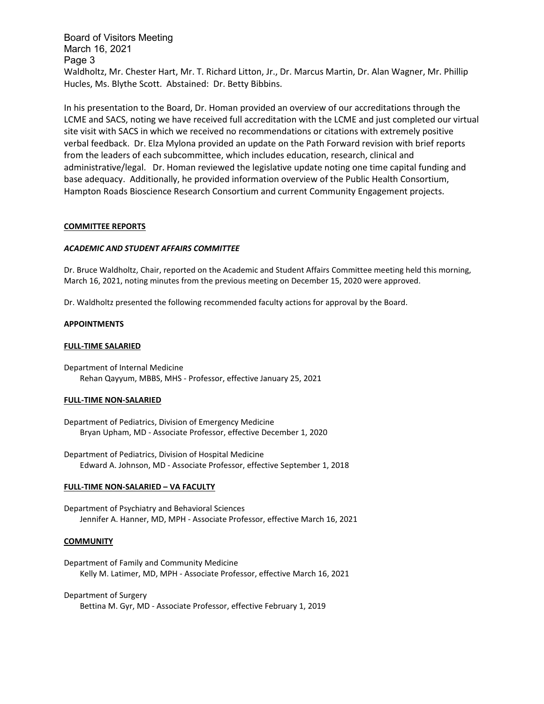Board of Visitors Meeting March 16, 2021 Page 3 Waldholtz, Mr. Chester Hart, Mr. T. Richard Litton, Jr., Dr. Marcus Martin, Dr. Alan Wagner, Mr. Phillip Hucles, Ms. Blythe Scott. Abstained: Dr. Betty Bibbins.

In his presentation to the Board, Dr. Homan provided an overview of our accreditations through the LCME and SACS, noting we have received full accreditation with the LCME and just completed our virtual site visit with SACS in which we received no recommendations or citations with extremely positive verbal feedback. Dr. Elza Mylona provided an update on the Path Forward revision with brief reports from the leaders of each subcommittee, which includes education, research, clinical and administrative/legal. Dr. Homan reviewed the legislative update noting one time capital funding and base adequacy. Additionally, he provided information overview of the Public Health Consortium, Hampton Roads Bioscience Research Consortium and current Community Engagement projects.

### **COMMITTEE REPORTS**

### *ACADEMIC AND STUDENT AFFAIRS COMMITTEE*

Dr. Bruce Waldholtz, Chair, reported on the Academic and Student Affairs Committee meeting held this morning, March 16, 2021, noting minutes from the previous meeting on December 15, 2020 were approved.

Dr. Waldholtz presented the following recommended faculty actions for approval by the Board.

### **APPOINTMENTS**

### **FULL-TIME SALARIED**

Department of Internal Medicine Rehan Qayyum, MBBS, MHS - Professor, effective January 25, 2021

### **FULL-TIME NON-SALARIED**

Department of Pediatrics, Division of Emergency Medicine Bryan Upham, MD - Associate Professor, effective December 1, 2020

Department of Pediatrics, Division of Hospital Medicine Edward A. Johnson, MD - Associate Professor, effective September 1, 2018

### **FULL-TIME NON-SALARIED – VA FACULTY**

Department of Psychiatry and Behavioral Sciences Jennifer A. Hanner, MD, MPH - Associate Professor, effective March 16, 2021

### **COMMUNITY**

Department of Family and Community Medicine Kelly M. Latimer, MD, MPH - Associate Professor, effective March 16, 2021

### Department of Surgery

Bettina M. Gyr, MD - Associate Professor, effective February 1, 2019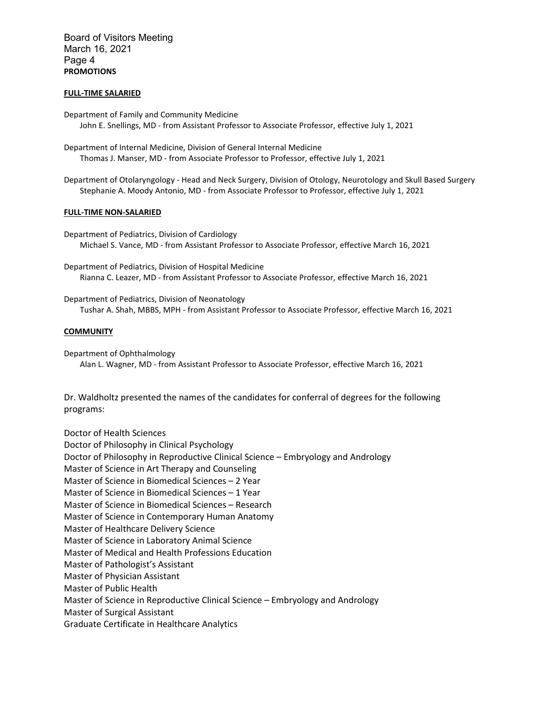Board of Visitors Meeting March 16, 2021 Page 4 **PROMOTIONS**

### **FULL-TIME SALARIED**

Department of Family and Community Medicine John E. Snellings, MD - from Assistant Professor to Associate Professor, effective July 1, 2021

Department of Internal Medicine, Division of General Internal Medicine Thomas J. Manser, MD - from Associate Professor to Professor, effective July 1, 2021

Department of Otolaryngology - Head and Neck Surgery, Division of Otology, Neurotology and Skull Based Surgery Stephanie A. Moody Antonio, MD - from Associate Professor to Professor, effective July 1, 2021

### **FULL-TIME NON-SALARIED**

Department of Pediatrics, Division of Cardiology Michael S. Vance, MD - from Assistant Professor to Associate Professor, effective March 16, 2021

Department of Pediatrics, Division of Hospital Medicine Rianna C. Leazer, MD - from Assistant Professor to Associate Professor, effective March 16, 2021

Department of Pediatrics, Division of Neonatology Tushar A. Shah, MBBS, MPH - from Assistant Professor to Associate Professor, effective March 16, 2021

### **COMMUNITY**

Department of Ophthalmology Alan L. Wagner, MD - from Assistant Professor to Associate Professor, effective March 16, 2021

Dr. Waldholtz presented the names of the candidates for conferral of degrees for the following programs:

Doctor of Health Sciences Doctor of Philosophy in Clinical Psychology Doctor of Philosophy in Reproductive Clinical Science – Embryology and Andrology Master of Science in Art Therapy and Counseling Master of Science in Biomedical Sciences – 2 Year Master of Science in Biomedical Sciences – 1 Year Master of Science in Biomedical Sciences – Research Master of Science in Contemporary Human Anatomy Master of Healthcare Delivery Science Master of Science in Laboratory Animal Science Master of Medical and Health Professions Education Master of Pathologist's Assistant Master of Physician Assistant Master of Public Health Master of Science in Reproductive Clinical Science – Embryology and Andrology Master of Surgical Assistant Graduate Certificate in Healthcare Analytics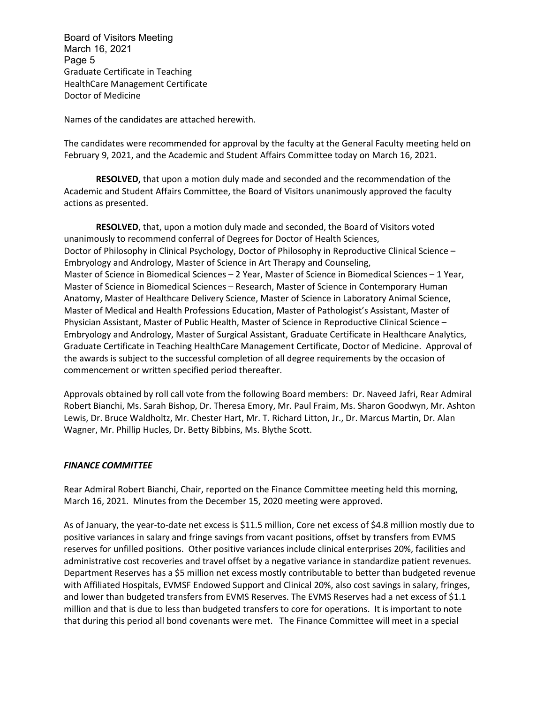Board of Visitors Meeting March 16, 2021 Page 5 Graduate Certificate in Teaching HealthCare Management Certificate Doctor of Medicine

Names of the candidates are attached herewith.

The candidates were recommended for approval by the faculty at the General Faculty meeting held on February 9, 2021, and the Academic and Student Affairs Committee today on March 16, 2021.

**RESOLVED,** that upon a motion duly made and seconded and the recommendation of the Academic and Student Affairs Committee, the Board of Visitors unanimously approved the faculty actions as presented.

**RESOLVED**, that, upon a motion duly made and seconded, the Board of Visitors voted unanimously to recommend conferral of Degrees for Doctor of Health Sciences, Doctor of Philosophy in Clinical Psychology, Doctor of Philosophy in Reproductive Clinical Science – Embryology and Andrology, Master of Science in Art Therapy and Counseling, Master of Science in Biomedical Sciences – 2 Year, Master of Science in Biomedical Sciences – 1 Year, Master of Science in Biomedical Sciences – Research, Master of Science in Contemporary Human Anatomy, Master of Healthcare Delivery Science, Master of Science in Laboratory Animal Science, Master of Medical and Health Professions Education, Master of Pathologist's Assistant, Master of Physician Assistant, Master of Public Health, Master of Science in Reproductive Clinical Science – Embryology and Andrology, Master of Surgical Assistant, Graduate Certificate in Healthcare Analytics, Graduate Certificate in Teaching HealthCare Management Certificate, Doctor of Medicine. Approval of the awards is subject to the successful completion of all degree requirements by the occasion of commencement or written specified period thereafter.

Approvals obtained by roll call vote from the following Board members: Dr. Naveed Jafri, Rear Admiral Robert Bianchi, Ms. Sarah Bishop, Dr. Theresa Emory, Mr. Paul Fraim, Ms. Sharon Goodwyn, Mr. Ashton Lewis, Dr. Bruce Waldholtz, Mr. Chester Hart, Mr. T. Richard Litton, Jr., Dr. Marcus Martin, Dr. Alan Wagner, Mr. Phillip Hucles, Dr. Betty Bibbins, Ms. Blythe Scott.

# *FINANCE COMMITTEE*

Rear Admiral Robert Bianchi, Chair, reported on the Finance Committee meeting held this morning, March 16, 2021. Minutes from the December 15, 2020 meeting were approved.

As of January, the year-to-date net excess is \$11.5 million, Core net excess of \$4.8 million mostly due to positive variances in salary and fringe savings from vacant positions, offset by transfers from EVMS reserves for unfilled positions. Other positive variances include clinical enterprises 20%, facilities and administrative cost recoveries and travel offset by a negative variance in standardize patient revenues. Department Reserves has a \$5 million net excess mostly contributable to better than budgeted revenue with Affiliated Hospitals, EVMSF Endowed Support and Clinical 20%, also cost savings in salary, fringes, and lower than budgeted transfers from EVMS Reserves. The EVMS Reserves had a net excess of \$1.1 million and that is due to less than budgeted transfers to core for operations. It is important to note that during this period all bond covenants were met. The Finance Committee will meet in a special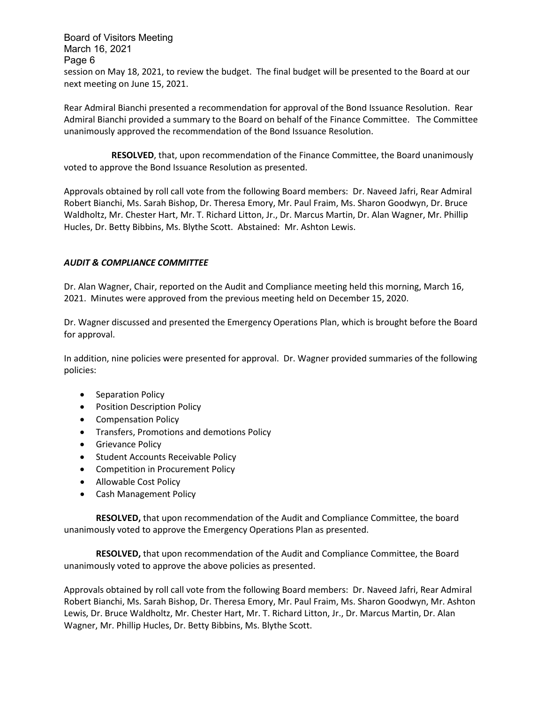Board of Visitors Meeting March 16, 2021 Page 6 session on May 18, 2021, to review the budget. The final budget will be presented to the Board at our next meeting on June 15, 2021.

Rear Admiral Bianchi presented a recommendation for approval of the Bond Issuance Resolution. Rear Admiral Bianchi provided a summary to the Board on behalf of the Finance Committee. The Committee unanimously approved the recommendation of the Bond Issuance Resolution.

**RESOLVED**, that, upon recommendation of the Finance Committee, the Board unanimously voted to approve the Bond Issuance Resolution as presented.

Approvals obtained by roll call vote from the following Board members: Dr. Naveed Jafri, Rear Admiral Robert Bianchi, Ms. Sarah Bishop, Dr. Theresa Emory, Mr. Paul Fraim, Ms. Sharon Goodwyn, Dr. Bruce Waldholtz, Mr. Chester Hart, Mr. T. Richard Litton, Jr., Dr. Marcus Martin, Dr. Alan Wagner, Mr. Phillip Hucles, Dr. Betty Bibbins, Ms. Blythe Scott. Abstained: Mr. Ashton Lewis.

# *AUDIT & COMPLIANCE COMMITTEE*

Dr. Alan Wagner, Chair, reported on the Audit and Compliance meeting held this morning, March 16, 2021. Minutes were approved from the previous meeting held on December 15, 2020.

Dr. Wagner discussed and presented the Emergency Operations Plan, which is brought before the Board for approval.

In addition, nine policies were presented for approval. Dr. Wagner provided summaries of the following policies:

- Separation Policy
- Position Description Policy
- Compensation Policy
- Transfers, Promotions and demotions Policy
- Grievance Policy
- Student Accounts Receivable Policy
- Competition in Procurement Policy
- Allowable Cost Policy
- Cash Management Policy

**RESOLVED,** that upon recommendation of the Audit and Compliance Committee, the board unanimously voted to approve the Emergency Operations Plan as presented.

**RESOLVED,** that upon recommendation of the Audit and Compliance Committee, the Board unanimously voted to approve the above policies as presented.

Approvals obtained by roll call vote from the following Board members: Dr. Naveed Jafri, Rear Admiral Robert Bianchi, Ms. Sarah Bishop, Dr. Theresa Emory, Mr. Paul Fraim, Ms. Sharon Goodwyn, Mr. Ashton Lewis, Dr. Bruce Waldholtz, Mr. Chester Hart, Mr. T. Richard Litton, Jr., Dr. Marcus Martin, Dr. Alan Wagner, Mr. Phillip Hucles, Dr. Betty Bibbins, Ms. Blythe Scott.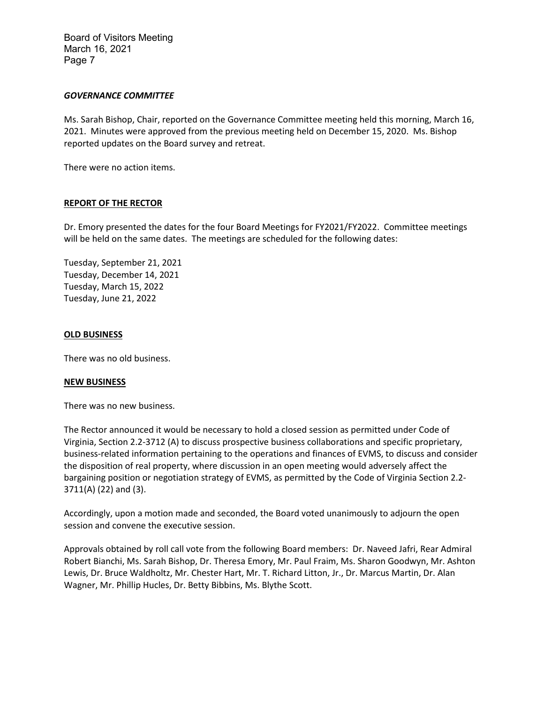Board of Visitors Meeting March 16, 2021 Page 7

## *GOVERNANCE COMMITTEE*

Ms. Sarah Bishop, Chair, reported on the Governance Committee meeting held this morning, March 16, 2021. Minutes were approved from the previous meeting held on December 15, 2020. Ms. Bishop reported updates on the Board survey and retreat.

There were no action items.

## **REPORT OF THE RECTOR**

Dr. Emory presented the dates for the four Board Meetings for FY2021/FY2022. Committee meetings will be held on the same dates. The meetings are scheduled for the following dates:

Tuesday, September 21, 2021 Tuesday, December 14, 2021 Tuesday, March 15, 2022 Tuesday, June 21, 2022

### **OLD BUSINESS**

There was no old business.

### **NEW BUSINESS**

There was no new business.

The Rector announced it would be necessary to hold a closed session as permitted under Code of Virginia, Section 2.2-3712 (A) to discuss prospective business collaborations and specific proprietary, business-related information pertaining to the operations and finances of EVMS, to discuss and consider the disposition of real property, where discussion in an open meeting would adversely affect the bargaining position or negotiation strategy of EVMS, as permitted by the Code of Virginia Section 2.2- 3711(A) (22) and (3).

Accordingly, upon a motion made and seconded, the Board voted unanimously to adjourn the open session and convene the executive session.

Approvals obtained by roll call vote from the following Board members: Dr. Naveed Jafri, Rear Admiral Robert Bianchi, Ms. Sarah Bishop, Dr. Theresa Emory, Mr. Paul Fraim, Ms. Sharon Goodwyn, Mr. Ashton Lewis, Dr. Bruce Waldholtz, Mr. Chester Hart, Mr. T. Richard Litton, Jr., Dr. Marcus Martin, Dr. Alan Wagner, Mr. Phillip Hucles, Dr. Betty Bibbins, Ms. Blythe Scott.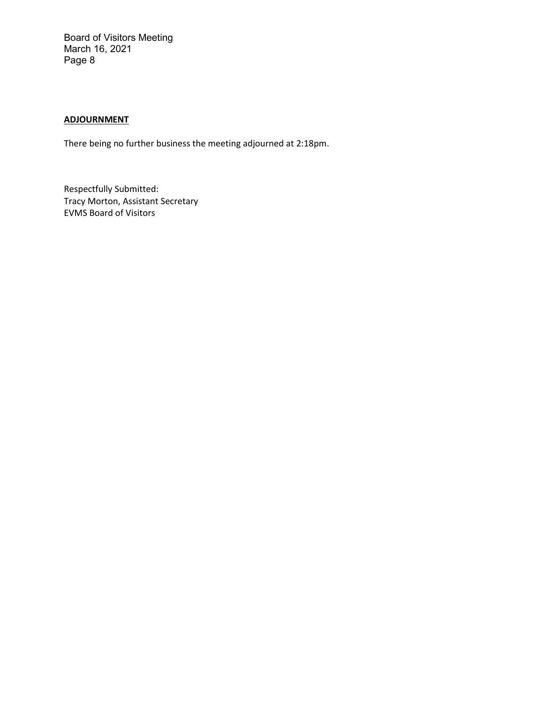Board of Visitors Meeting March 16, 2021 Page 8

# **ADJOURNMENT**

There being no further business the meeting adjourned at 2:18pm.

Respectfully Submitted: Tracy Morton, Assistant Secretary EVMS Board of Visitors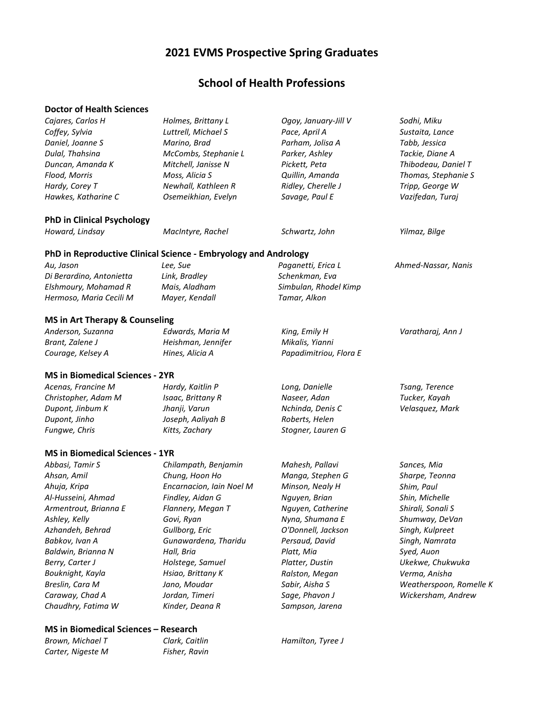# **2021 EVMS Prospective Spring Graduates**

# **School of Health Professions**

# **Doctor of Health Sciences**

| Cajares, Carlos H                         | Holmes, Brittany L                                              | Ogoy, January-Jill V   | Sodhi, Miku             |
|-------------------------------------------|-----------------------------------------------------------------|------------------------|-------------------------|
| Coffey, Sylvia                            | Luttrell, Michael S                                             | Pace, April A          | Sustaita, Lance         |
| Daniel, Joanne S                          | Marino, Brad                                                    | Parham, Jolisa A       | Tabb, Jessica           |
| Dulal, Thahsina                           | McCombs, Stephanie L                                            | Parker, Ashley         | Tackie, Diane A         |
| Duncan, Amanda K                          | Mitchell, Janisse N                                             | Pickett, Peta          | Thibodeau, Daniel T     |
| Flood, Morris                             | Moss, Alicia S                                                  | Quillin, Amanda        | Thomas, Stephanie S     |
| Hardy, Corey T                            | Newhall, Kathleen R                                             | Ridley, Cherelle J     | Tripp, George W         |
| Hawkes, Katharine C                       | Osemeikhian, Evelyn                                             | Savage, Paul E         | Vazifedan, Turaj        |
| <b>PhD in Clinical Psychology</b>         |                                                                 |                        |                         |
| Howard, Lindsay                           | MacIntyre, Rachel                                               | Schwartz, John         | Yilmaz, Bilge           |
|                                           | PhD in Reproductive Clinical Science - Embryology and Andrology |                        |                         |
| Au, Jason                                 | Lee, Sue                                                        | Paganetti, Erica L     | Ahmed-Nassar, Nanis     |
| Di Berardino, Antonietta                  | Link, Bradley                                                   | Schenkman, Eva         |                         |
| Elshmoury, Mohamad R                      | Mais, Aladham                                                   | Simbulan, Rhodel Kimp  |                         |
| Hermoso, Maria Cecili M                   | Mayer, Kendall                                                  | Tamar, Alkon           |                         |
| <b>MS in Art Therapy &amp; Counseling</b> |                                                                 |                        |                         |
| Anderson, Suzanna                         | Edwards, Maria M                                                | King, Emily H          | Varatharaj, Ann J       |
| Brant, Zalene J                           | Heishman, Jennifer                                              | Mikalis, Yianni        |                         |
| Courage, Kelsey A                         | Hines, Alicia A                                                 | Papadimitriou, Flora E |                         |
| <b>MS in Biomedical Sciences - 2YR</b>    |                                                                 |                        |                         |
| Acenas, Francine M                        | Hardy, Kaitlin P                                                | Long, Danielle         | Tsang, Terence          |
| Christopher, Adam M                       | Isaac, Brittany R                                               | Naseer, Adan           | Tucker, Kayah           |
| Dupont, Jinbum K                          | Jhanji, Varun                                                   | Nchinda, Denis C       | Velasquez, Mark         |
| Dupont, Jinho                             | Joseph, Aaliyah B                                               | Roberts, Helen         |                         |
| Fungwe, Chris                             | Kitts, Zachary                                                  | Stogner, Lauren G      |                         |
| <b>MS in Biomedical Sciences - 1YR</b>    |                                                                 |                        |                         |
| Abbasi, Tamir S                           | Chilampath, Benjamin                                            | Mahesh, Pallavi        | Sances, Mia             |
| Ahsan, Amil                               | Chung, Hoon Ho                                                  | Manga, Stephen G       | Sharpe, Teonna          |
| Ahuja, Kripa                              | Encarnacion, Iain Noel M                                        | Minson, Nealy H        | Shim, Paul              |
| Al-Husseini, Ahmad                        | Findley, Aidan G                                                | Nguyen, Brian          | Shin, Michelle          |
| Armentrout, Brianna E                     | Flannery, Megan T                                               | Nguyen, Catherine      | Shirali, Sonali S       |
| Ashley, Kelly                             | Govi, Ryan                                                      | Nyna, Shumana E        | Shumway, DeVan          |
| Azhandeh, Behrad                          | Gullborg, Eric                                                  | O'Donnell, Jackson     | Singh, Kulpreet         |
| Babkov, Ivan A                            | Gunawardena, Tharidu                                            | Persaud, David         | Singh, Namrata          |
| Baldwin, Brianna N                        | Hall, Bria                                                      | Platt, Mia             | Syed, Auon              |
| Berry, Carter J                           | Holstege, Samuel                                                | Platter, Dustin        | Ukekwe, Chukwuka        |
| Bouknight, Kayla                          | Hsiao, Brittany K                                               | Ralston, Megan         | Verma, Anisha           |
| Breslin, Cara M                           | Jano, Moudar                                                    | Sabir, Aisha S         | Weatherspoon, Romelle K |
| Caraway, Chad A                           | Jordan, Timeri                                                  | Sage, Phavon J         | Wickersham, Andrew      |
| Chaudhry, Fatima W                        | Kinder, Deana R                                                 | Sampson, Jarena        |                         |
|                                           |                                                                 |                        |                         |

# **MS in Biomedical Sciences – Research**

*Brown, Michael T Carter, Nigeste M* *Clark, Caitlin Fisher, Ravin* 

*Hamilton, Tyree J*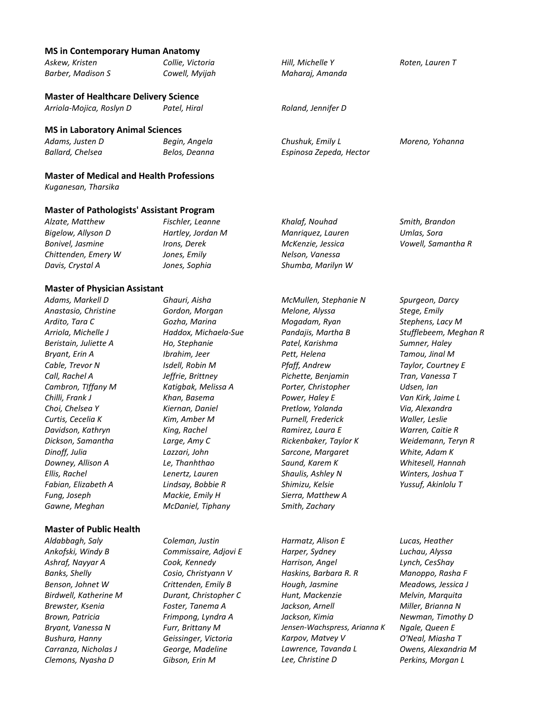### **MS in Contemporary Human Anatomy**

| Askew, Kristen                                   | Collie, Victoria  | Hill, Michelle Y        | Roten, Lauren T    |
|--------------------------------------------------|-------------------|-------------------------|--------------------|
| Barber, Madison S                                | Cowell, Myijah    | Maharaj, Amanda         |                    |
| <b>Master of Healthcare Delivery Science</b>     |                   |                         |                    |
| Arriola-Mojica, Roslyn D                         | Patel, Hiral      | Roland, Jennifer D      |                    |
| <b>MS in Laboratory Animal Sciences</b>          |                   |                         |                    |
| Adams, Justen D                                  | Begin, Angela     | Chushuk, Emily L        | Moreno, Yohanna    |
| Ballard, Chelsea                                 | Belos, Deanna     | Espinosa Zepeda, Hector |                    |
| <b>Master of Medical and Health Professions</b>  |                   |                         |                    |
| Kuganesan, Tharsika                              |                   |                         |                    |
| <b>Master of Pathologists' Assistant Program</b> |                   |                         |                    |
| Alzate, Matthew                                  | Fischler, Leanne  | Khalaf, Nouhad          | Smith, Brandon     |
| Riaelow, Allyson D                               | Hartley, Jordan M | Manriquez Lauren        | <b>Ilmlas</b> Sora |

*Bigelow, Allyson D Bonivel, Jasmine Chittenden, Emery W Davis, Crystal A Hartley, Jordan M Irons, Derek Jones, Emily Jones, Sophia Manriquez, Lauren McKenzie, Jessica Nelson, Vanessa Shumba, Marilyn W Umlas, Sora Vowell, Samantha R*

### **Master of Physician Assistant**

*Adams, Markell D Anastasio, Christine Ardito, Tara C Arriola, Michelle J Beristain, Juliette A Bryant, Erin A Cable, Trevor N Call, Rachel A Cambron, TIffany M Chilli, Frank J Choi, Chelsea Y Curtis, Cecelia K Davidson, Kathryn Dickson, Samantha Dinoff, Julia Downey, Allison A Ellis, Rachel Fabian, Elizabeth A Fung, Joseph Gawne, Meghan* 

### **Master of Public Health**

*Aldabbagh, Saly Ankofski, Windy B Ashraf, Nayyar A Banks, Shelly Benson, Johnet W Birdwell, Katherine M Brewster, Ksenia Brown, Patricia Bryant, Vanessa N Bushura, Hanny Carranza, Nicholas J Clemons, Nyasha D*

*Ghauri, Aisha Gordon, Morgan Gozha, Marina Haddox, Michaela-Sue Ho, Stephanie Ibrahim, Jeer Isdell, Robin M Jeffrie, Brittney Katigbak, Melissa A Khan, Basema Kiernan, Daniel Kim, Amber M King, Rachel Large, Amy C Lazzari, John Le, Thanhthao Lenertz, Lauren Lindsay, Bobbie R Mackie, Emily H McDaniel, Tiphany* 

*Coleman, Justin Commissaire, Adjovi E Cook, Kennedy Cosio, Christyann V Crittenden, Emily B Durant, Christopher C Foster, Tanema A Frimpong, Lyndra A Furr, Brittany M Geissinger, Victoria George, Madeline Gibson, Erin M*

*McMullen, Stephanie N Melone, Alyssa Mogadam, Ryan Pandajis, Martha B Patel, Karishma Pett, Helena Pfaff, Andrew Pichette, Benjamin Porter, Christopher Power, Haley E Pretlow, Yolanda Purnell, Frederick Ramirez, Laura E Rickenbaker, Taylor K Sarcone, Margaret Saund, Karem K Shaulis, Ashley N Shimizu, Kelsie Sierra, Matthew A Smith, Zachary* 

*Harmatz, Alison E Harper, Sydney Harrison, Angel Haskins, Barbara R. R Hough, Jasmine Hunt, Mackenzie Jackson, Arnell Jackson, Kimia Jensen-Wachspress, Arianna K Karpov, Matvey V Lawrence, Tavanda L Lee, Christine D*

*Spurgeon, Darcy Stege, Emily Stephens, Lacy M Stufflebeem, Meghan R Sumner, Haley Tamou, Jinal M Taylor, Courtney E Tran, Vanessa T Udsen, Ian Van Kirk, Jaime L Via, Alexandra Waller, Leslie Warren, Caitie R Weidemann, Teryn R White, Adam K Whitesell, Hannah Winters, Joshua T Yussuf, Akinlolu T*

*Lucas, Heather Luchau, Alyssa Lynch, CesShay Manoppo, Rasha F Meadows, Jessica J Melvin, Marquita Miller, Brianna N Newman, Timothy D Ngale, Queen E O'Neal, Miasha T Owens, Alexandria M Perkins, Morgan L*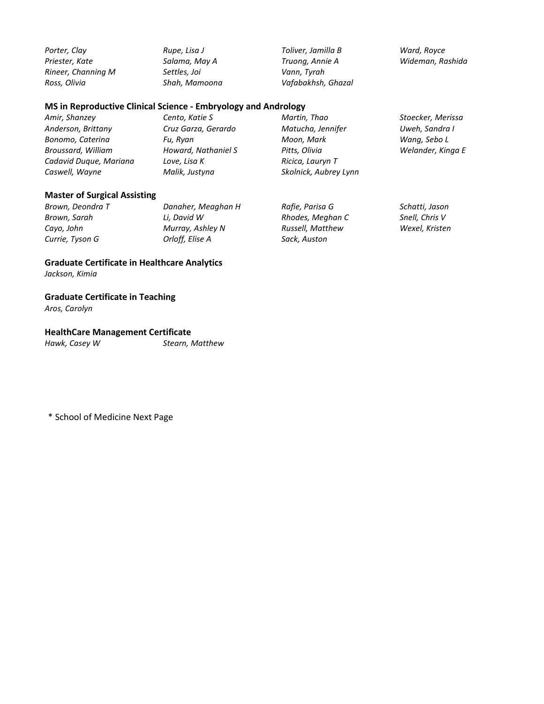*Porter, Clay Priester, Kate Rineer, Channing M Ross, Olivia* 

*Rupe, Lisa J Salama, May A Settles, Joi Shah, Mamoona*  *Toliver, Jamilla B Truong, Annie A Vann, Tyrah Vafabakhsh, Ghazal* *Ward, Royce Wideman, Rashida*

### **MS in Reproductive Clinical Science - Embryology and Andrology**

*Amir, Shanzey Anderson, Brittany Bonomo, Caterina Broussard, William Cadavid Duque, Mariana Caswell, Wayne Cento, Katie S Cruz Garza, Gerardo Fu, Ryan Howard, Nathaniel S Love, Lisa K Malik, Justyna Martin, Thao Matucha, Jennifer Moon, Mark Pitts, Olivia Ricica, Lauryn T Skolnick, Aubrey Lynn Stoecker, Merissa Uweh, Sandra I Wang, Sebo L Welander, Kinga E*

### **Master of Surgical Assisting**

| Brown, Deondra T | Danaher, Meaghan H | Rafie, Parisa G  | Schatti, Jason |
|------------------|--------------------|------------------|----------------|
| Brown, Sarah     | Li. David W        | Rhodes, Meghan C | Snell, Chris V |
| Cayo, John       | Murray, Ashley N   | Russell, Matthew | Wexel, Kristen |
| Currie, Tyson G  | Orloff, Elise A    | Sack, Auston     |                |

# **Graduate Certificate in Healthcare Analytics**

*Jackson, Kimia* 

### **Graduate Certificate in Teaching**

*Aros, Carolyn* 

### **HealthCare Management Certificate**

*Hawk, Casey W Stearn, Matthew*

\* School of Medicine Next Page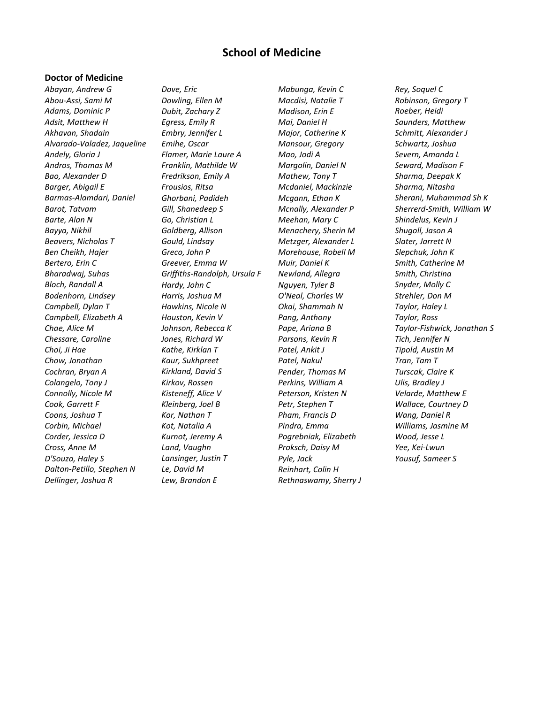# **School of Medicine**

### **Doctor of Medicine**

*Abayan, Andrew G Abou-Assi, Sami M Adams, Dominic P Adsit, Matthew H Akhavan, Shadain Alvarado-Valadez, Jaqueline Andely, Gloria J Andros, Thomas M Bao, Alexander D Barger, Abigail E Barmas-Alamdari, Daniel Barot, Tatvam Barte, Alan N Bayya, Nikhil Beavers, Nicholas T Ben Cheikh, Hajer Bertero, Erin C Bharadwaj, Suhas Bloch, Randall A Bodenhorn, Lindsey Campbell, Dylan T Campbell, Elizabeth A Chae, Alice M Chessare, Caroline Choi, Ji Hae Chow, Jonathan Cochran, Bryan A Colangelo, Tony J Connolly, Nicole M Cook, Garrett F Coons, Joshua T Corbin, Michael Corder, Jessica D Cross, Anne M D'Souza, Haley S Dalton-Petillo, Stephen N Dellinger, Joshua R*

*Dove, Eric Dowling, Ellen M Dubit, Zachary Z Egress, Emily R Embry, Jennifer L Emihe, Oscar Flamer, Marie Laure A Franklin, Mathilde W Fredrikson, Emily A Frousios, Ritsa Ghorbani, Padideh Gill, Shanedeep S Go, Christian L Goldberg, Allison Gould, Lindsay Greco, John P Greever, Emma W Griffiths-Randolph, Ursula F Hardy, John C Harris, Joshua M Hawkins, Nicole N Houston, Kevin V Johnson, Rebecca K Jones, Richard W Kathe, Kirklan T Kaur, Sukhpreet Kirkland, David S Kirkov, Rossen Kisteneff, Alice V Kleinberg, Joel B Kor, Nathan T Kot, Natalia A Kurnot, Jeremy A Land, Vaughn Lansinger, Justin T Le, David M Lew, Brandon E*

*Mabunga, Kevin C Macdisi, Natalie T Madison, Erin E Mai, Daniel H Major, Catherine K Mansour, Gregory Mao, Jodi A Margolin, Daniel N Mathew, Tony T Mcdaniel, Mackinzie Mcgann, Ethan K Mcnally, Alexander P Meehan, Mary C Menachery, Sherin M Metzger, Alexander L Morehouse, Robell M Muir, Daniel K Newland, Allegra Nguyen, Tyler B O'Neal, Charles W Okai, Shammah N Pang, Anthony Pape, Ariana B Parsons, Kevin R Patel, Ankit J Patel, Nakul Pender, Thomas M Perkins, William A Peterson, Kristen N Petr, Stephen T Pham, Francis D Pindra, Emma Pogrebniak, Elizabeth Proksch, Daisy M Pyle, Jack Reinhart, Colin H Rethnaswamy, Sherry J* *Rey, Soquel C Robinson, Gregory T Roeber, Heidi Saunders, Matthew Schmitt, Alexander J Schwartz, Joshua Severn, Amanda L Seward, Madison F Sharma, Deepak K Sharma, Nitasha Sherani, Muhammad Sh K Sherrerd-Smith, William W Shindelus, Kevin J Shugoll, Jason A Slater, Jarrett N Slepchuk, John K Smith, Catherine M Smith, Christina Snyder, Molly C Strehler, Don M Taylor, Haley L Taylor, Ross Taylor-Fishwick, Jonathan S Tich, Jennifer N Tipold, Austin M Tran, Tam T Turscak, Claire K Ulis, Bradley J Velarde, Matthew E Wallace, Courtney D Wang, Daniel R Williams, Jasmine M Wood, Jesse L Yee, Kei-Lwun Yousuf, Sameer S*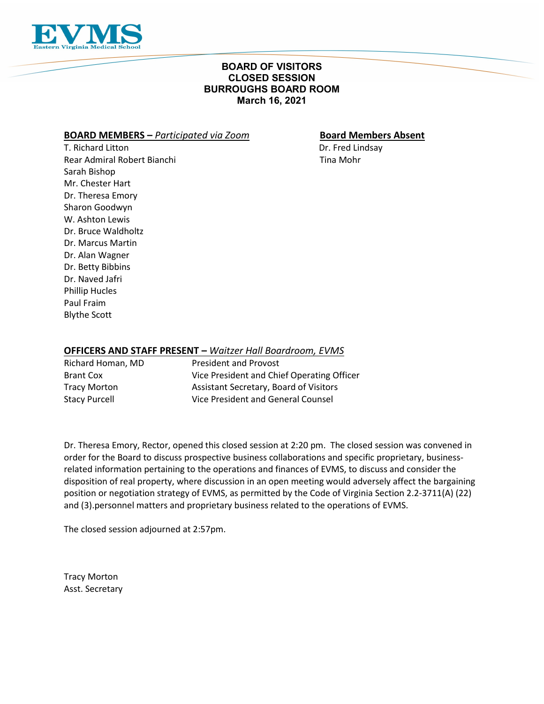

# **BOARD OF VISITORS CLOSED SESSION BURROUGHS BOARD ROOM March 16, 2021**

# **BOARD MEMBERS –** *Participated via Zoom* **Board Members Absent**

T. Richard Litton Dr. Fred Lindsay Rear Admiral Robert Bianchi Tina Mohr Sarah Bishop Mr. Chester Hart Dr. Theresa Emory Sharon Goodwyn W. Ashton Lewis Dr. Bruce Waldholtz Dr. Marcus Martin Dr. Alan Wagner Dr. Betty Bibbins Dr. Naved Jafri Phillip Hucles Paul Fraim

Blythe Scott

# **OFFICERS AND STAFF PRESENT –** *Waitzer Hall Boardroom, EVMS*

| Richard Homan, MD    | <b>President and Provost</b>               |
|----------------------|--------------------------------------------|
| <b>Brant Cox</b>     | Vice President and Chief Operating Officer |
| <b>Tracy Morton</b>  | Assistant Secretary, Board of Visitors     |
| <b>Stacy Purcell</b> | Vice President and General Counsel         |

Dr. Theresa Emory, Rector, opened this closed session at 2:20 pm. The closed session was convened in order for the Board to discuss prospective business collaborations and specific proprietary, businessrelated information pertaining to the operations and finances of EVMS, to discuss and consider the disposition of real property, where discussion in an open meeting would adversely affect the bargaining position or negotiation strategy of EVMS, as permitted by the Code of Virginia Section 2.2-3711(A) (22) and (3).personnel matters and proprietary business related to the operations of EVMS.

The closed session adjourned at 2:57pm.

Tracy Morton Asst. Secretary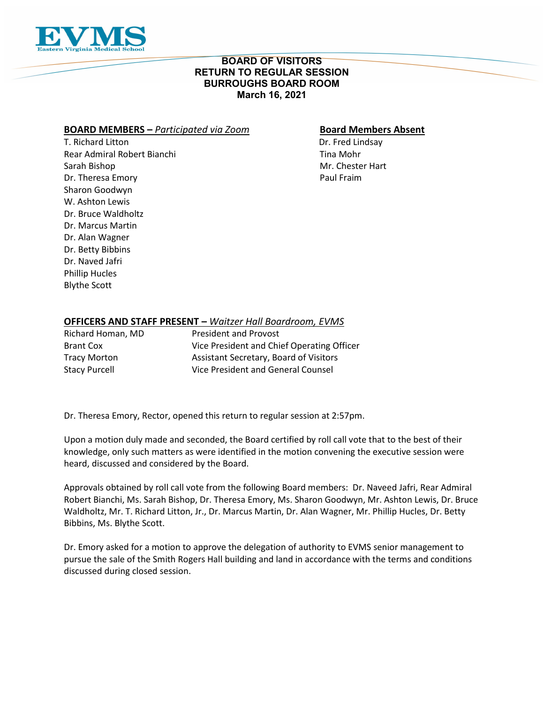

# **BOARD OF VISITORS RETURN TO REGULAR SESSION BURROUGHS BOARD ROOM March 16, 2021**

# **BOARD MEMBERS –** *Participated via Zoom* **Board Members Absent**

T. Richard Litton **Dr. Fred Lindsay** Rear Admiral Robert Bianchi New York 1988, Nobel Tina Mohr Sarah Bishop Mr. Chester Hart Dr. Theresa Emory **Paul Fraim** Paul Fraim Sharon Goodwyn W. Ashton Lewis Dr. Bruce Waldholtz Dr. Marcus Martin Dr. Alan Wagner Dr. Betty Bibbins Dr. Naved Jafri Phillip Hucles Blythe Scott

# **OFFICERS AND STAFF PRESENT –** *Waitzer Hall Boardroom, EVMS*

| Richard Homan, MD    | <b>President and Provost</b>               |
|----------------------|--------------------------------------------|
| <b>Brant Cox</b>     | Vice President and Chief Operating Officer |
| Tracy Morton         | Assistant Secretary, Board of Visitors     |
| <b>Stacy Purcell</b> | Vice President and General Counsel         |

Dr. Theresa Emory, Rector, opened this return to regular session at 2:57pm.

Upon a motion duly made and seconded, the Board certified by roll call vote that to the best of their knowledge, only such matters as were identified in the motion convening the executive session were heard, discussed and considered by the Board.

Approvals obtained by roll call vote from the following Board members: Dr. Naveed Jafri, Rear Admiral Robert Bianchi, Ms. Sarah Bishop, Dr. Theresa Emory, Ms. Sharon Goodwyn, Mr. Ashton Lewis, Dr. Bruce Waldholtz, Mr. T. Richard Litton, Jr., Dr. Marcus Martin, Dr. Alan Wagner, Mr. Phillip Hucles, Dr. Betty Bibbins, Ms. Blythe Scott.

Dr. Emory asked for a motion to approve the delegation of authority to EVMS senior management to pursue the sale of the Smith Rogers Hall building and land in accordance with the terms and conditions discussed during closed session.